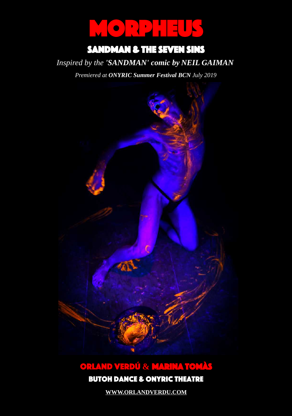

# Sandman & The Seven Sins

*Inspired by the 'SANDMAN' comic by NEIL GAIMAN*

*Premiered at ONYRIC Summer Festival BCN July 2019*



# ORLAND VERDÚ **&** MARINA TOMÀS

#### butoh dance & onyric theatre

 **[WWW.OR LANDVERDU .COM](http://WWW.ORLANDVERDU.COM/)**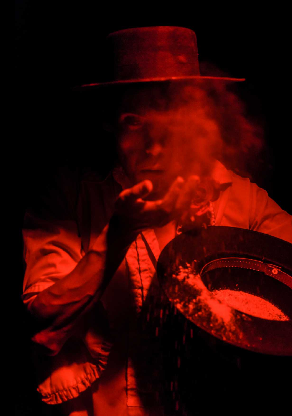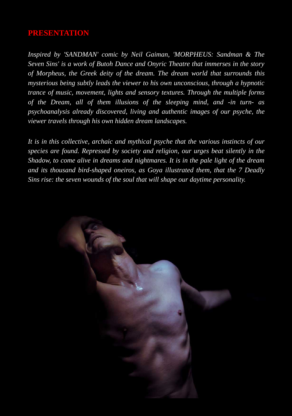#### **PRESENTATION**

*Inspired by 'SANDMAN' comic by Neil Gaiman, 'MORPHEUS: Sandman & The Seven Sins' is a work of Butoh Dance and Onyric Theatre that immerses in the story of Morpheus, the Greek deity of the dream. The dream world that surrounds this mysterious being subtly leads the viewer to his own unconscious, through a hypnotic trance of music, movement, lights and sensory textures. Through the multiple forms of the Dream, all of them illusions of the sleeping mind, and -in turn- as psychoanalysis already discovered, living and authentic images of our psyche, the viewer travels through his own hidden dream landscapes.*

*It is in this collective, archaic and mythical psyche that the various instincts of our species are found. Repressed by society and religion, our urges beat silently in the Shadow, to come alive in dreams and nightmares. It is in the pale light of the dream and its thousand bird-shaped oneiros, as Goya illustrated them, that the 7 Deadly Sins rise: the seven wounds of the soul that will shape our daytime personality.*

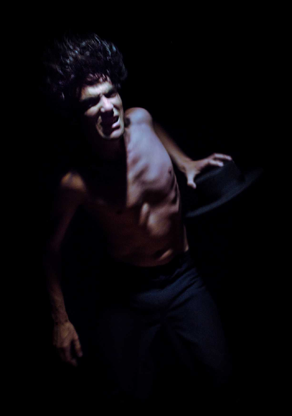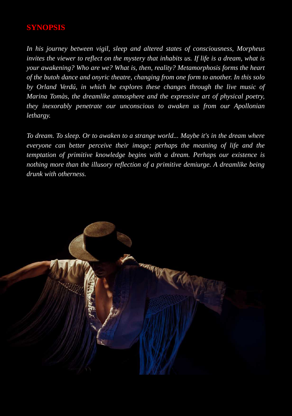#### **SYNOPSIS**

*In his journey between vigil, sleep and altered states of consciousness, Morpheus invites the viewer to reflect on the mystery that inhabits us. If life is a dream, what is your awakening? Who are we? What is, then, reality? Metamorphosis forms the heart of the butoh dance and onyric theatre, changing from one form to another. In this solo by Orland Verdú, in which he explores these changes through the live music of Marina Tomàs, the dreamlike atmosphere and the expressive art of physical poetry, they inexorably penetrate our unconscious to awaken us from our Apollonian lethargy.*

*To dream. To sleep. Or to awaken to a strange world... Maybe it's in the dream where everyone can better perceive their image; perhaps the meaning of life and the temptation of primitive knowledge begins with a dream. Perhaps our existence is nothing more than the illusory reflection of a primitive demiurge. A dreamlike being drunk with otherness.*

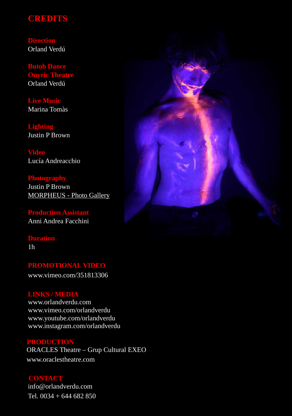## **CREDITS**

**Direction** Orland Verdú

**Butoh Dance Onyric Theatre** Orland Verdú

**Live Music** Marina Tomàs

**Lighting** Justin P Brown

**Video** Lucía Andreacchio

**Photography** Justin P Brown [MORPHEUS - Photo Gallery](https://www.orlandverdu.com/morpheus.html)

**Production Assistant** Anni Andrea Facchini

## **Duration**

 $1<sub>h</sub>$ 

### **PROMOTIONAL VIDEO**

[www.vimeo.com/351813306](http://vimeo.com/351813306)

#### **LINKS / MEDIA**

[www.orlandverdu.com](http://www.orlandverdu.com/) [www.vimeo.com/orlandverdu](http://www.vimeo.com/orlandverdu) [www.youtube.com/orlandverdu](http://www.youtube.com/orlandverdu) [www.instagram.com/orlandverdu](http://www.instagram.com/orlandverdu)

#### **PRODUCTION**

ORACLES Theatre – Grup Cultural EXEO [www.oraclestheatre.com](http://www.oraclestheatre.com/)

 **CONTACT** [info@orlandverdu.com](mailto:info@orlandverdu.com)

Tel. 0034 + 644 682 850

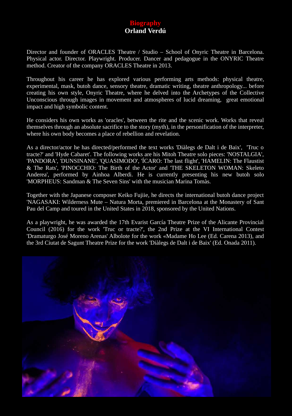#### **Biography Orland Verdú**

Director and founder of ORACLES Theatre / Studio – School of Onyric Theatre in Barcelona. Physical actor. Director. Playwright. Producer. Dancer and pedagogue in the ONYRIC Theatre method. Creator of the company ORACLES Theatre in 2013.

Throughout his career he has explored various performing arts methods: physical theatre, experimental, mask, butoh dance, sensory theatre, dramatic writing, theatre anthropology... before creating his own style, Onyric Theatre, where he delved into the Archetypes of the Collective Unconscious through images in movement and atmospheres of lucid dreaming, great emotional impact and high symbolic content.

He considers his own works as 'oracles', between the rite and the scenic work. Works that reveal themselves through an absolute sacrifice to the story (myth), in the personification of the interpreter, where his own body becomes a place of rebellion and revelation.

As a director/actor he has directed/performed the text works 'Diàlegs de Dalt i de Baix', 'Truc o tracte?' and 'Hyde Cabaret'. The following works are his Mitoh Theatre solo pieces: 'NOSTALGIA', 'PANDORA', 'DUNSINANE', 'QUASIMODO', 'ÍCARO: The last flight', 'HAMELIN: The Flaustist & The Rats', 'PINOCCHIO: The Birth of the Actor' and 'THE SKELETON WOMAN: Skeleto Anderea', performed by Ainhoa Alberdi. He is currently presenting his new butoh solo 'MORPHEUS: Sandman & The Seven Sins' with the musician Marina Tomàs.

Together with the Japanese composer Keiko Fujiie, he directs the international butoh dance project 'NAGASAKI: Wilderness Mute – Natura Morta, premiered in Barcelona at the Monastery of Sant Pau del Camp and toured in the United States in 2018, sponsored by the United Nations.

As a playwright, he was awarded the 17th Evarist García Theatre Prize of the Alicante Provincial Council (2016) for the work 'Truc or tracte?', the 2nd Prize at the VI International Contest 'Dramaturgo José Moreno Arenas' Albolote for the work «Madame Ho Lee (Ed. Carena 2013), and the 3rd Ciutat de Sagunt Theatre Prize for the work 'Diàlegs de Dalt i de Baix' (Ed. Onada 2011).

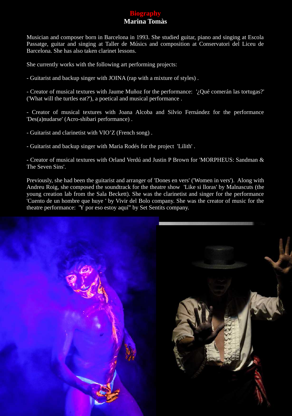# **Biography**

#### **Marina Tomàs**

Musician and composer born in Barcelona in 1993. She studied guitar, piano and singing at Escola Passatge, guitar and singing at Taller de Músics and composition at Conservatori del Liceu de Barcelona. She has also taken clarinet lessons.

She currently works with the following art performing projects:

- Guitarist and backup singer with JOINA (rap with a mixture of styles) .

- Creator of musical textures with Jaume Muñoz for the performance: '¿Qué comerán las tortugas?' ('What will the turtles eat?'), a poetical and musical performance .

- Creator of musical textures with Joana Alcoba and Silvio Fernández for the performance 'Des(a)nudarse' (Acro-shibari performance) .

- Guitarist and clarinetist with VIO'Z (French song) .

- Guitarist and backup singer with Maria Rodés for the project 'Lilith' .

- Creator of musical textures with Orland Verdú and Justin P Brown for 'MORPHEUS: Sandman & The Seven Sins'.

Previously, she had been the guitarist and arranger of 'Dones en vers' ('Women in vers'). Along with Andreu Roig, she composed the soundtrack for the theatre show 'Like si lloras' by Malnascuts (the young creation lab from the Sala Beckett). She was the clarinetist and singer for the performance 'Cuento de un hombre que huye ' by Vivir del Bolo company. She was the creator of music for the theatre performance: 'Y por eso estoy aquí" by Set Sentits company.

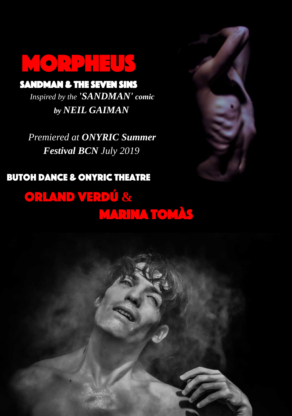

Sandman & The Seven Sins

*Inspired by the 'SANDMAN' comic by NEIL GAIMAN*

*Premiered at ONYRIC Summer Festival BCN July 2019*

butoh dance & onyric theatre

# ORLAND VERDÚ **&** MARINA TOMÀS